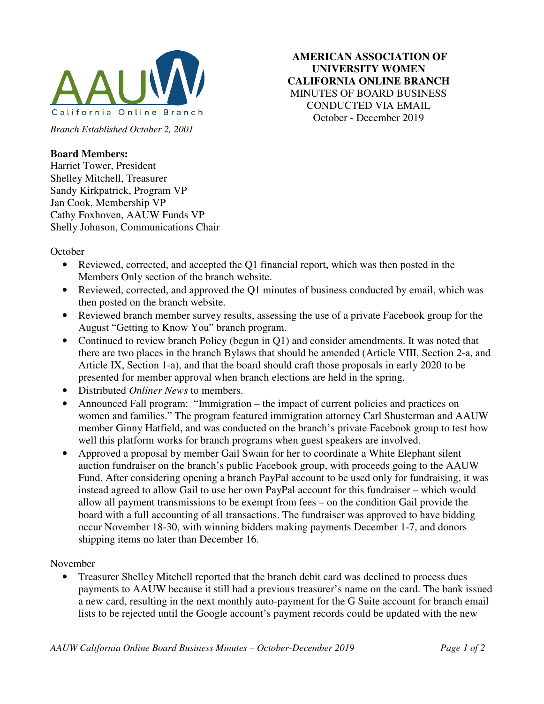

**AMERICAN ASSOCIATION OF UNIVERSITY WOMEN CALIFORNIA ONLINE BRANCH**  MINUTES OF BOARD BUSINESS CONDUCTED VIA EMAIL October - December 2019

*Branch Established October 2, 2001* 

## **Board Members:**

Harriet Tower, President Shelley Mitchell, Treasurer Sandy Kirkpatrick, Program VP Jan Cook, Membership VP Cathy Foxhoven, AAUW Funds VP Shelly Johnson, Communications Chair

**October** 

- Reviewed, corrected, and accepted the Q1 financial report, which was then posted in the Members Only section of the branch website.
- Reviewed, corrected, and approved the O1 minutes of business conducted by email, which was then posted on the branch website.
- Reviewed branch member survey results, assessing the use of a private Facebook group for the August "Getting to Know You" branch program.
- Continued to review branch Policy (begun in Q1) and consider amendments. It was noted that there are two places in the branch Bylaws that should be amended (Article VIII, Section 2-a, and Article IX, Section 1-a), and that the board should craft those proposals in early 2020 to be presented for member approval when branch elections are held in the spring.
- Distributed *Onliner News* to members.
- Announced Fall program: "Immigration the impact of current policies and practices on women and families." The program featured immigration attorney Carl Shusterman and AAUW member Ginny Hatfield, and was conducted on the branch's private Facebook group to test how well this platform works for branch programs when guest speakers are involved.
- Approved a proposal by member Gail Swain for her to coordinate a White Elephant silent auction fundraiser on the branch's public Facebook group, with proceeds going to the AAUW Fund. After considering opening a branch PayPal account to be used only for fundraising, it was instead agreed to allow Gail to use her own PayPal account for this fundraiser – which would allow all payment transmissions to be exempt from fees – on the condition Gail provide the board with a full accounting of all transactions. The fundraiser was approved to have bidding occur November 18-30, with winning bidders making payments December 1-7, and donors shipping items no later than December 16.

November

• Treasurer Shelley Mitchell reported that the branch debit card was declined to process dues payments to AAUW because it still had a previous treasurer's name on the card. The bank issued a new card, resulting in the next monthly auto-payment for the G Suite account for branch email lists to be rejected until the Google account's payment records could be updated with the new